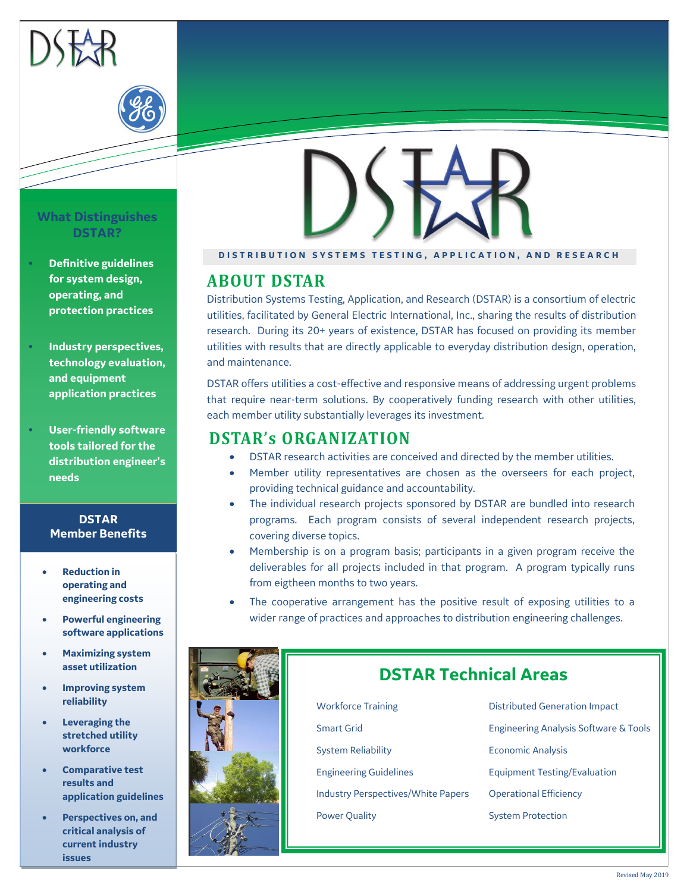

### **What Distinguishes DSTAR?**

- **Definitive guidelines for system design, operating, and protection practices**
- **Industry perspectives, technology evaluation, and equipment application practices**
- **User-friendly software tools tailored for the distribution engineer's needs**

### **DSTAR Member Benefits**

- **Reduction in operating and engineering costs**
- **Powerful engineering software applications**
- **Maximizing system asset utilization**
- **Improving system reliability**
- **Leveraging the stretched utility workforce**
- **Comparative test results and application guidelines**
- **Perspectives on, and critical analysis of current industry issues**

### **DISTRIBUTION SYSTEMS TESTING, APPLICATION, AND RESEARCH**

## **ABOUT DSTAR**

Distribution Systems Testing, Application, and Research (DSTAR) is a consortium of electric utilities, facilitated by General Electric International, Inc., sharing the results of distribution research. During its 20+ years of existence, DSTAR has focused on providing its member utilities with results that are directly applicable to everyday distribution design, operation, and maintenance.

DSTAR offers utilities a cost-effective and responsive means of addressing urgent problems that require near-term solutions. By cooperatively funding research with other utilities, each member utility substantially leverages its investment.

# **DSTAR's ORGANIZATION**

- DSTAR research activities are conceived and directed by the member utilities.
- Member utility representatives are chosen as the overseers for each project, providing technical guidance and accountability.
- The individual research projects sponsored by DSTAR are bundled into research programs. Each program consists of several independent research projects, covering diverse topics.
- Membership is on a program basis; participants in a given program receive the deliverables for all projects included in that program. A program typically runs from eigtheen months to two years.
- The cooperative arrangement has the positive result of exposing utilities to a wider range of practices and approaches to distribution engineering challenges.

# **DSTAR Technical Areas**

- Workforce Training **Distributed Generation Impact** Smart Grid Engineering Analysis Software & Tools System Reliability **Example 2018** Economic Analysis Engineering Guidelines Equipment Testing/Evaluation Industry Perspectives/White Papers Operational Efficiency Power Quality **System Protection**
-